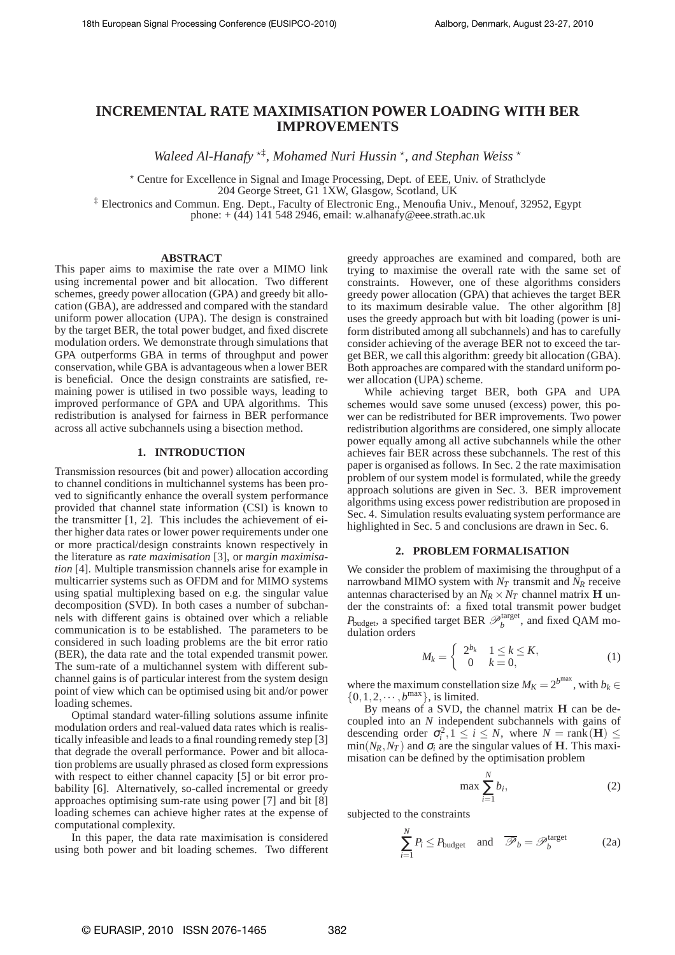# **INCREMENTAL RATE MAXIMISATION POWER LOADING WITH BER IMPROVEMENTS**

Waleed Al-Hanafy<sup>\*†</sup>, Mohamed Nuri Hussin<sup>\*</sup>, and Stephan Weiss<sup>\*</sup>

? Centre for Excellence in Signal and Image Processing, Dept. of EEE, Univ. of Strathclyde

204 George Street, G1 1XW, Glasgow, Scotland, UK

‡ Electronics and Commun. Eng. Dept., Faculty of Electronic Eng., Menoufia Univ., Menouf, 32952, Egypt

phone:  $+$  (44) 141 548 2946, email: w.alhanafy@eee.strath.ac.uk

# **ABSTRACT**

This paper aims to maximise the rate over a MIMO link using incremental power and bit allocation. Two different schemes, greedy power allocation (GPA) and greedy bit allocation (GBA), are addressed and compared with the standard uniform power allocation (UPA). The design is constrained by the target BER, the total power budget, and fixed discrete modulation orders. We demonstrate through simulations that GPA outperforms GBA in terms of throughput and power conservation, while GBA is advantageous when a lower BER is beneficial. Once the design constraints are satisfied, remaining power is utilised in two possible ways, leading to improved performance of GPA and UPA algorithms. This redistribution is analysed for fairness in BER performance across all active subchannels using a bisection method.

# **1. INTRODUCTION**

Transmission resources (bit and power) allocation according to channel conditions in multichannel systems has been proved to significantly enhance the overall system performance provided that channel state information (CSI) is known to the transmitter [1, 2]. This includes the achievement of either higher data rates or lower power requirements under one or more practical/design constraints known respectively in the literature as *rate maximisation* [3], or *margin maximisation* [4]. Multiple transmission channels arise for example in multicarrier systems such as OFDM and for MIMO systems using spatial multiplexing based on e.g. the singular value decomposition (SVD). In both cases a number of subchannels with different gains is obtained over which a reliable communication is to be established. The parameters to be considered in such loading problems are the bit error ratio (BER), the data rate and the total expended transmit power. The sum-rate of a multichannel system with different subchannel gains is of particular interest from the system design point of view which can be optimised using bit and/or power loading schemes.

Optimal standard water-filling solutions assume infinite modulation orders and real-valued data rates which is realistically infeasible and leads to a final rounding remedy step [3] that degrade the overall performance. Power and bit allocation problems are usually phrased as closed form expressions with respect to either channel capacity [5] or bit error probability [6]. Alternatively, so-called incremental or greedy approaches optimising sum-rate using power [7] and bit [8] loading schemes can achieve higher rates at the expense of computational complexity.

In this paper, the data rate maximisation is considered using both power and bit loading schemes. Two different greedy approaches are examined and compared, both are trying to maximise the overall rate with the same set of constraints. However, one of these algorithms considers greedy power allocation (GPA) that achieves the target BER to its maximum desirable value. The other algorithm [8] uses the greedy approach but with bit loading (power is uniform distributed among all subchannels) and has to carefully consider achieving of the average BER not to exceed the target BER, we call this algorithm: greedy bit allocation (GBA). Both approaches are compared with the standard uniform power allocation (UPA) scheme.

While achieving target BER, both GPA and UPA schemes would save some unused (excess) power, this power can be redistributed for BER improvements. Two power redistribution algorithms are considered, one simply allocate power equally among all active subchannels while the other achieves fair BER across these subchannels. The rest of this paper is organised as follows. In Sec. 2 the rate maximisation problem of our system model is formulated, while the greedy approach solutions are given in Sec. 3. BER improvement algorithms using excess power redistribution are proposed in Sec. 4. Simulation results evaluating system performance are highlighted in Sec. 5 and conclusions are drawn in Sec. 6.

# **2. PROBLEM FORMALISATION**

We consider the problem of maximising the throughput of a narrowband MIMO system with  $N_T$  transmit and  $N_R$  receive antennas characterised by an  $N_R \times N_T$  channel matrix **H** under the constraints of: a fixed total transmit power budget  $P_{\text{budget}}$ , a specified target BER  $\mathscr{P}_b^{\text{target}}$ , and fixed QAM modulation orders

$$
M_k = \left\{ \begin{array}{ll} 2^{b_k} & 1 \le k \le K, \\ 0 & k = 0, \end{array} \right. \tag{1}
$$

where the maximum constellation size  $M_K = 2^{b^{max}}$ , with  $b_k \in$  $\{0, 1, 2, \cdots, b^{\text{max}}\}\$ , is limited.

By means of a SVD, the channel matrix H can be decoupled into an *N* independent subchannels with gains of descending order  $\sigma_i^2$ ,  $1 \le i \le N$ , where  $N = \text{rank}(\mathbf{H}) \le$  $\min(N_R, N_T)$  and  $\sigma_i$  are the singular values of **H**. This maximisation can be defined by the optimisation problem

$$
\max \sum_{i=1}^{N} b_i,
$$
 (2)

subjected to the constraints

$$
\sum_{i=1}^{N} P_i \le P_{\text{budget}} \quad \text{and} \quad \overline{\mathcal{P}}_b = \mathcal{P}_b^{\text{target}} \tag{2a}
$$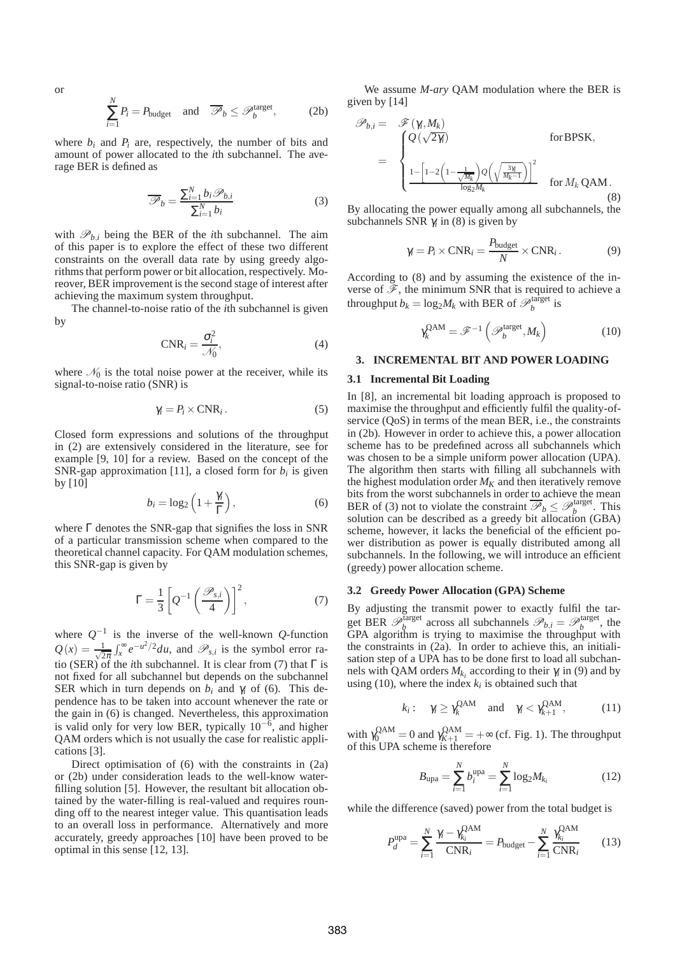or

$$
\sum_{i=1}^{N} P_i = P_{\text{budget}} \quad \text{and} \quad \overline{\mathcal{P}}_b \le \mathcal{P}_b^{\text{target}}, \tag{2b}
$$

where  $b_i$  and  $P_i$  are, respectively, the number of bits and amount of power allocated to the *i*th subchannel. The average BER is defined as

$$
\overline{\mathscr{P}}_b = \frac{\sum_{i=1}^{N} b_i \mathscr{P}_{b,i}}{\sum_{i=1}^{N} b_i}
$$
 (3)

with  $\mathcal{P}_{b,i}$  being the BER of the *i*th subchannel. The aim of this paper is to explore the effect of these two different constraints on the overall data rate by using greedy algorithms that perform power or bit allocation, respectively. Moreover, BER improvement is the second stage of interest after achieving the maximum system throughput.

The channel-to-noise ratio of the *i*th subchannel is given by

$$
CNR_i = \frac{\sigma_i^2}{\mathcal{N}_0},\tag{4}
$$

where  $\mathcal{N}_0$  is the total noise power at the receiver, while its signal-to-noise ratio (SNR) is

$$
\gamma_i = P_i \times \text{CNR}_i. \tag{5}
$$

Closed form expressions and solutions of the throughput in (2) are extensively considered in the literature, see for example [9, 10] for a review. Based on the concept of the SNR-gap approximation [11], a closed form for  $b_i$  is given by [10]

$$
b_i = \log_2\left(1 + \frac{\gamma_i}{\Gamma}\right),\tag{6}
$$

where Γ denotes the SNR-gap that signifies the loss in SNR of a particular transmission scheme when compared to the theoretical channel capacity. For QAM modulation schemes, this SNR-gap is given by

$$
\Gamma = \frac{1}{3} \left[ Q^{-1} \left( \frac{\mathcal{P}_{s,i}}{4} \right) \right]^2, \tag{7}
$$

where  $Q^{-1}$  is the inverse of the well-known  $Q$ -function  $Q(x) = \frac{1}{\sqrt{2}}$  $\frac{1}{2\pi} \int_{x}^{\infty} e^{-u^2/2} du$ , and  $\mathcal{P}_{s,i}$  is the symbol error ratio (SER) of the *i*th subchannel. It is clear from (7) that  $\Gamma$  is not fixed for all subchannel but depends on the subchannel SER which in turn depends on  $b_i$  and  $\gamma_i$  of (6). This dependence has to be taken into account whenever the rate or the gain in (6) is changed. Nevertheless, this approximation is valid only for very low BER, typically  $10^{-6}$ , and higher QAM orders which is not usually the case for realistic applications [3].

Direct optimisation of (6) with the constraints in (2a) or (2b) under consideration leads to the well-know waterfilling solution [5]. However, the resultant bit allocation obtained by the water-filling is real-valued and requires rounding off to the nearest integer value. This quantisation leads to an overall loss in performance. Alternatively and more accurately, greedy approaches [10] have been proved to be optimal in this sense [12, 13].

We assume *M-ary* QAM modulation where the BER is given by [14]

$$
\mathscr{P}_{b,i} = \mathscr{F}(\gamma_i, M_k)
$$
  
= 
$$
\begin{cases} Q(\sqrt{2\gamma_i}) & \text{for BPSK,} \\ \frac{1 - \left[1 - 2\left(1 - \frac{1}{\sqrt{M_k}}\right)Q\left(\sqrt{\frac{3\gamma_i}{M_k - 1}}\right)\right]^2}{\log_2 M_k} & \text{for } M_k \text{ QAM.} \end{cases}
$$
(8)

By allocating the power equally among all subchannels, the subchannels SNR  $\gamma$ <sub>i</sub> in (8) is given by

$$
\gamma_i = P_i \times \text{CNR}_i = \frac{P_{\text{budget}}}{N} \times \text{CNR}_i. \tag{9}
$$

According to (8) and by assuming the existence of the inverse of  $\mathscr{F}$ , the minimum SNR that is required to achieve a throughput  $b_k = \log_2 M_k$  with BER of  $\mathcal{P}_b^{\text{target}}$  is

$$
\gamma_k^{\text{QAM}} = \mathscr{F}^{-1}\left(\mathscr{P}_b^{\text{target}}, M_k\right) \tag{10}
$$

#### **3. INCREMENTAL BIT AND POWER LOADING**

#### **3.1 Incremental Bit Loading**

In [8], an incremental bit loading approach is proposed to maximise the throughput and efficiently fulfil the quality-ofservice (QoS) in terms of the mean BER, i.e., the constraints in (2b). However in order to achieve this, a power allocation scheme has to be predefined across all subchannels which was chosen to be a simple uniform power allocation (UPA). The algorithm then starts with filling all subchannels with the highest modulation order  $M_K$  and then iteratively remove bits from the worst subchannels in order to achieve the mean BER of (3) not to violate the constraint  $\overline{\mathcal{P}}_b \leq \mathcal{P}_b^{\text{target}}$ . This solution can be described as a greedy bit allocation (GBA) scheme, however, it lacks the beneficial of the efficient power distribution as power is equally distributed among all subchannels. In the following, we will introduce an efficient (greedy) power allocation scheme.

#### **3.2 Greedy Power Allocation (GPA) Scheme**

By adjusting the transmit power to exactly fulfil the target BER  $\mathscr{P}_b^{\text{target}}$  across all subchannels  $\mathscr{P}_{b,i} = \mathscr{P}_b^{\text{target}}$ , the GPA algorithm is trying to maximise the throughput with the constraints in (2a). In order to achieve this, an initialisation step of a UPA has to be done first to load all subchannels with QAM orders  $M_{k_i}$  according to their  $\gamma_i$  in (9) and by using (10), where the index  $k_i$  is obtained such that

$$
k_i: \quad \gamma_i \ge \gamma_k^{\text{QAM}} \quad \text{and} \quad \gamma_i < \gamma_{k+1}^{\text{QAM}}, \tag{11}
$$

with  $\gamma_0^{\text{QAM}} = 0$  and  $\gamma_{K+1}^{\text{QAM}} = +\infty$  (cf. Fig. 1). The throughput of this UPA scheme is therefore

$$
B_{\text{upa}} = \sum_{i=1}^{N} b_i^{\text{upa}} = \sum_{i=1}^{N} \log_2 M_{k_i}
$$
 (12)

while the difference (saved) power from the total budget is

$$
P_d^{\text{upa}} = \sum_{i=1}^N \frac{\gamma_i - \gamma_{k_i}^{\text{QAM}}}{\text{CNR}_i} = P_{\text{budget}} - \sum_{i=1}^N \frac{\gamma_{k_i}^{\text{QAM}}}{\text{CNR}_i} \tag{13}
$$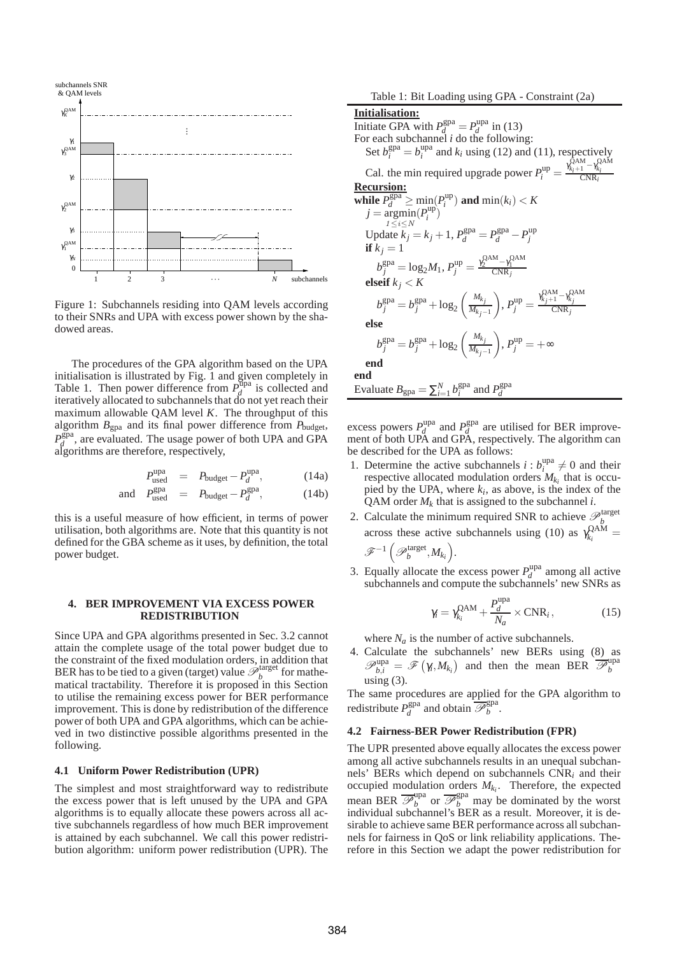

Figure 1: Subchannels residing into QAM levels according to their SNRs and UPA with excess power shown by the shadowed areas.

The procedures of the GPA algorithm based on the UPA initialisation is illustrated by Fig. 1 and given completely in Table 1. Then power difference from  $P_d^{\text{Upa}}$  $d \text{ is collected}$  and iteratively allocated to subchannels that do not yet reach their maximum allowable QAM level *K*. The throughput of this algorithm  $B_{\text{gpa}}$  and its final power difference from  $P_{\text{budget}}$ ,  $P_d^{\text{gpa}}$  $d_d^{\text{gpa}}$ , are evaluated. The usage power of both UPA and GPA algorithms are therefore, respectively,

$$
P_{used}^{upa} = P_{budget} - P_d^{upa}, \t(14a)
$$

$$
\text{and} \quad P_{\text{used}}^{\text{gpa}} = P_{\text{budget}} - P_d^{\text{gpa}}, \tag{14b}
$$

this is a useful measure of how efficient, in terms of power utilisation, both algorithms are. Note that this quantity is not defined for the GBA scheme as it uses, by definition, the total power budget.

and *P*

#### **4. BER IMPROVEMENT VIA EXCESS POWER REDISTRIBUTION**

Since UPA and GPA algorithms presented in Sec. 3.2 cannot attain the complete usage of the total power budget due to the constraint of the fixed modulation orders, in addition that BER has to be tied to a given (target) value  $\mathscr{P}_b^{\text{target}}$  for mathematical tractability. Therefore it is proposed in this Section to utilise the remaining excess power for BER performance improvement. This is done by redistribution of the difference power of both UPA and GPA algorithms, which can be achieved in two distinctive possible algorithms presented in the following.

# **4.1 Uniform Power Redistribution (UPR)**

The simplest and most straightforward way to redistribute the excess power that is left unused by the UPA and GPA algorithms is to equally allocate these powers across all active subchannels regardless of how much BER improvement is attained by each subchannel. We call this power redistribution algorithm: uniform power redistribution (UPR). The

Table 1: Bit Loading using GPA - Constraint (2a)

**Initialisation:** Initiate GPA with  $P_d^{\text{gpa}} = P_d^{\text{upa}}$  $\int_{d}^{\text{upa}}$  in (13) For each subchannel *i* do the following: Set  $b_i^{\text{gpa}} = b_i^{\text{upa}}$  $i_i^{\text{upa}}$  and  $k_i$  using (12) and (11), respectively Cal. the min required upgrade power  $P_i^{\text{up}} = \frac{\gamma_{k_i+1}^{\text{QAM}} - \gamma_{k_i}^{\text{QAM}}}{\text{CNR}_i}$ **Recursion: while**  $P_d^{\text{gpa}} \ge \min_{i} (P_i^{\text{up}})$  and  $\min(k_i) < K$  $j = \operatorname*{argmin}^u(P_i^{\text{up}})$  $1\leq i\leq N$ *i* )  $U$ pdate  $\vec{k}_j = k_j + 1$ ,  $P_d^{\text{gpa}} = P_d^{\text{gpa}} - P_j^{\text{up}}$ **if**  $k_j = 1$  $b_j^{\text{gpa}} = \log_2 M_1, P_j^{\text{up}} = \frac{\gamma_2^{\text{QAM}} - \gamma_1^{\text{QAM}}}{\text{CNR}_j}$ **elseif**  $k<sub>i</sub> < K$  $b_j^{\text{gpa}} = b_j^{\text{gpa}} + \log_2\left(\frac{M_{k_j}}{M_{k_j}}\right)$  $M_{k_j-1}$  $\sum_{j}$ ,  $P_j^{\text{up}} = \frac{\gamma_{k_j+1}^{\text{QAM}} - \gamma_{k_j}^{\text{QAM}}}{\text{CNR}_j}$ CNR*j* **else**  $b_j^{\text{gpa}} = b_j^{\text{gpa}} + \log_2{\left( \frac{M_{k_j}}{M_{k_j}} \right)}$  $M_{kj-1}$  $\bigg), P_j^{\text{up}} = +\infty$ **end end** Evaluate  $B_{\text{gpa}} = \sum_{i=1}^{N} b_i^{\text{gpa}}$  and  $P_d^{\text{gpa}}$ *d*

excess powers  $P_d^{\text{upa}}$  $P_d^{\text{upa}}$  and  $P_d^{\text{gpa}}$  $d \text{ are utilized for BER improve-}$ ment of both UPA and GPA, respectively. The algorithm can be described for the UPA as follows:

- 1. Determine the active subchannels  $i : b_i^{\text{upa}}$  $i \neq 0$  and their respective allocated modulation orders  $M_{k_i}$  that is occupied by the UPA, where  $k_i$ , as above, is the index of the QAM order  $M_k$  that is assigned to the subchannel *i*.
- 2. Calculate the minimum required SNR to achieve  $\mathcal{P}_b^{\text{target}}$ across these active subchannels using (10) as  $\gamma_k^{\text{QAM}}$  $\frac{R}{k_i}$ <sup> $k_i$ </sup>  $\mathscr{F}^{-1}\left( \mathscr{P}_{b}^{\text{target}}, M_{k_i} \right)$ .
- 3. Equally allocate the excess power  $P_d^{\text{upa}}$  $d_d^{\text{upa}}$  among all active subchannels and compute the subchannels' new SNRs as

$$
\gamma_i = \gamma_{k_i}^{\text{QAM}} + \frac{P_d^{\text{upa}}}{N_a} \times \text{CNR}_i, \qquad (15)
$$

where  $N_a$  is the number of active subchannels.

4. Calculate the subchannels' new BERs using (8) as  $\mathscr{P}_{b,i}^{\text{upa}} = \mathscr{F}(\gamma_i, M_{k_i})$  and then the mean BER  $\overline{\mathscr{P}_{b}^{\text{upa}}}$ *b* using  $(3)$ .

The same procedures are applied for the GPA algorithm to redistribute  $P_d^{\text{gpa}}$  $\frac{d}{d}$  and obtain  $\overline{\mathcal{P}}_b^{\text{gpa}}$ *b* .

## **4.2 Fairness-BER Power Redistribution (FPR)**

The UPR presented above equally allocates the excess power among all active subchannels results in an unequal subchannels' BERs which depend on subchannels CNR*<sup>i</sup>* and their occupied modulation orders *Mk<sup>i</sup>* . Therefore, the expected mean BER  $\overline{\mathcal{P}_b^{\text{upa}}}$  or  $\overline{\mathcal{P}_b^{\text{spa}}}$  may be dominated by the worst individual subchannel's BER as a result. Moreover, it is desirable to achieve same BER performance across all subchannels for fairness in QoS or link reliability applications. Therefore in this Section we adapt the power redistribution for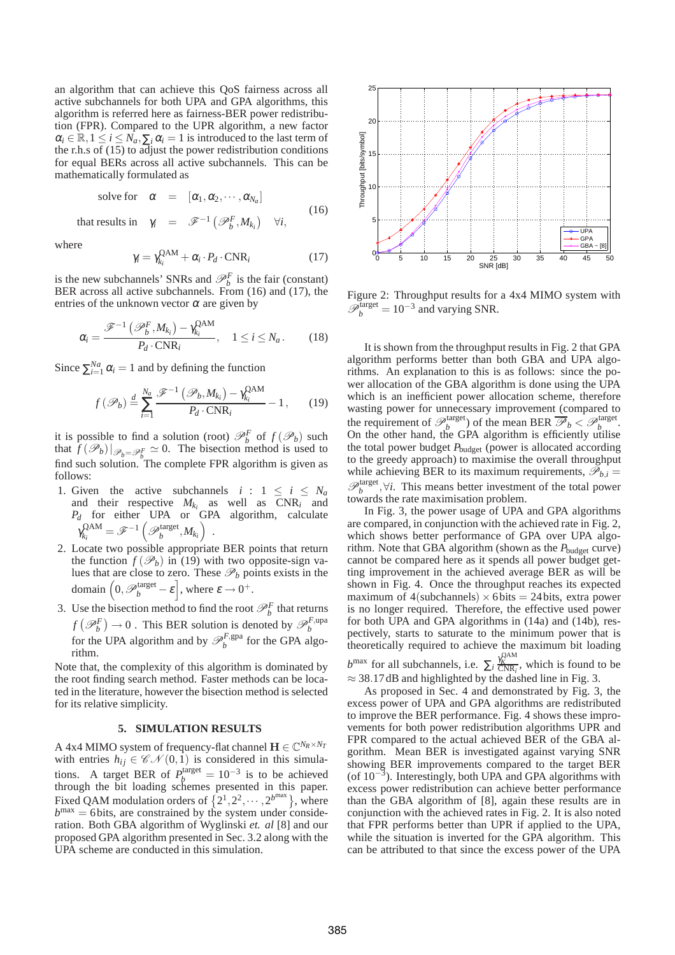an algorithm that can achieve this QoS fairness across all active subchannels for both UPA and GPA algorithms, this algorithm is referred here as fairness-BER power redistribution (FPR). Compared to the UPR algorithm, a new factor  $\alpha_i \in \mathbb{R}, 1 \leq i \leq N_a, \sum_i \alpha_i = 1$  is introduced to the last term of the r.h.s of  $(15)$  to adjust the power redistribution conditions for equal BERs across all active subchannels. This can be mathematically formulated as

solve for 
$$
\alpha = [\alpha_1, \alpha_2, \cdots, \alpha_{N_a}]
$$
 (16)

that results in  $\gamma_i = \mathscr{F}^{-1}(\mathscr{P}_b^F, M_{k_i}) \quad \forall i,$ 

where

$$
\gamma_i = \gamma_{k_i}^{\text{QAM}} + \alpha_i \cdot P_d \cdot \text{CNR}_i \tag{17}
$$

is the new subchannels' SNRs and  $\mathcal{P}_b^F$  is the fair (constant) BER across all active subchannels. From (16) and (17), the entries of the unknown vector  $\alpha$  are given by

$$
\alpha_i = \frac{\mathscr{F}^{-1}\left(\mathscr{P}_b^F, M_{k_i}\right) - \gamma_{k_i}^{\text{QAM}}}{P_d \cdot \text{CNR}_i}, \quad 1 \le i \le N_a. \tag{18}
$$

Since  $\sum_{i=1}^{Na} \alpha_i = 1$  and by defining the function

$$
f(\mathscr{P}_b) \stackrel{d}{=} \sum_{i=1}^{N_a} \frac{\mathscr{F}^{-1}\left(\mathscr{P}_b, M_{k_i}\right) - \gamma_{k_i}^{\text{QAM}}}{P_d \cdot \text{CNR}_i} - 1, \qquad (19)
$$

it is possible to find a solution (root)  $\mathcal{P}_b^F$  of  $f(\mathcal{P}_b)$  such that  $\hat{f}(\mathscr{P}_b)|_{\mathscr{P}_b=\mathscr{P}_b^F} \simeq 0$ . The bisection method is used to find such solution. The complete FPR algorithm is given as follows:

- 1. Given the active subchannels  $i : 1 \le i \le N_a$ and their respective  $M_{k_i}$  as well as  $CNR_i$  and *P<sup>d</sup>* for either UPA or GPA algorithm, calculate  $\gamma_{k_i}^{\text{QAM}}$  $\mathscr{F}^{\mathrm{AM}}_{k_i} = \mathscr{F}^{-1}\left(\mathscr{P}^{\mathrm{target}}_b, M_{k_i}\right) \;.$
- 2. Locate two possible appropriate BER points that return the function  $f(\mathcal{P}_b)$  in (19) with two opposite-sign values that are close to zero. These  $\mathcal{P}_b$  points exists in the domain  $\left(0, \mathscr{P}_{b}^{\text{target}} - \varepsilon\right]$ , where  $\varepsilon \to 0^{+}$ .
- 3. Use the bisection method to find the root  $\mathcal{P}_b^F$  that returns  $f(\mathcal{P}_b^F) \to 0$ . This BER solution is denoted by  $\mathcal{P}_b^{F, \text{upa}}$  for the UPA algo-<br>for the UPA algorithm and by  $\mathcal{P}_b^{F, \text{gpa}}$  for the GPA algorithm.

Note that, the complexity of this algorithm is dominated by the root finding search method. Faster methods can be located in the literature, however the bisection method is selected for its relative simplicity.

# **5. SIMULATION RESULTS**

A 4x4 MIMO system of frequency-flat channel  $\mathbf{H} \in \mathbb{C}^{N_R \times N_T}$ with entries  $h_{ij} \in \mathcal{CN}(0,1)$  is considered in this simulations. A target BER of  $P_b^{\text{target}} = 10^{-3}$  is to be achieved through the bit loading schemes presented in this paper. Fixed QAM modulation orders of  $\{2^1, 2^2, \dots, 2^{b^{\text{max}}}\}\$ , where  $b^{\text{max}} = 6$  bits, are constrained by the system under consideration. Both GBA algorithm of Wyglinski *et. al* [8] and our proposed GPA algorithm presented in Sec. 3.2 along with the UPA scheme are conducted in this simulation.



Figure 2: Throughput results for a 4x4 MIMO system with  $\mathscr{P}_{b}^{\text{target}} = 10^{-3}$  and varying SNR.

It is shown from the throughput results in Fig. 2 that GPA algorithm performs better than both GBA and UPA algorithms. An explanation to this is as follows: since the power allocation of the GBA algorithm is done using the UPA which is an inefficient power allocation scheme, therefore wasting power for unnecessary improvement (compared to the requirement of  $\mathcal{P}_b^{\text{target}}$  of the mean BER  $\overline{\mathcal{P}}_b < \mathcal{P}_b^{\text{target}}$ . On the other hand, the GPA algorithm is efficiently utilise the total power budget *P*budget (power is allocated according to the greedy approach) to maximise the overall throughput while achieving BER to its maximum requirements,  $\mathscr{P}_{b,i} =$  $\mathscr{P}_{b}^{\text{target}}$ , $\forall i$ . This means better investment of the total power towards the rate maximisation problem.

In Fig. 3, the power usage of UPA and GPA algorithms are compared, in conjunction with the achieved rate in Fig. 2, which shows better performance of GPA over UPA algorithm. Note that GBA algorithm (shown as the *P*<sub>budget</sub> curve) cannot be compared here as it spends all power budget getting improvement in the achieved average BER as will be shown in Fig. 4. Once the throughput reaches its expected maximum of  $4$ (subchannels)  $\times$  6 bits = 24 bits, extra power is no longer required. Therefore, the effective used power for both UPA and GPA algorithms in (14a) and (14b), respectively, starts to saturate to the minimum power that is theoretically required to achieve the maximum bit loading

 $b^{\text{max}}$  for all subchannels, i.e.  $\sum_{i} \frac{\gamma_K^{\text{QAM}}}{\text{CNR}_i}$ , which is found to be  $\approx$  38.17dB and highlighted by the dashed line in Fig. 3.

As proposed in Sec. 4 and demonstrated by Fig. 3, the excess power of UPA and GPA algorithms are redistributed to improve the BER performance. Fig. 4 shows these improvements for both power redistribution algorithms UPR and FPR compared to the actual achieved BER of the GBA algorithm. Mean BER is investigated against varying SNR showing BER improvements compared to the target BER (of 10−<sup>3</sup> ). Interestingly, both UPA and GPA algorithms with excess power redistribution can achieve better performance than the GBA algorithm of [8], again these results are in conjunction with the achieved rates in Fig. 2. It is also noted that FPR performs better than UPR if applied to the UPA, while the situation is inverted for the GPA algorithm. This can be attributed to that since the excess power of the UPA